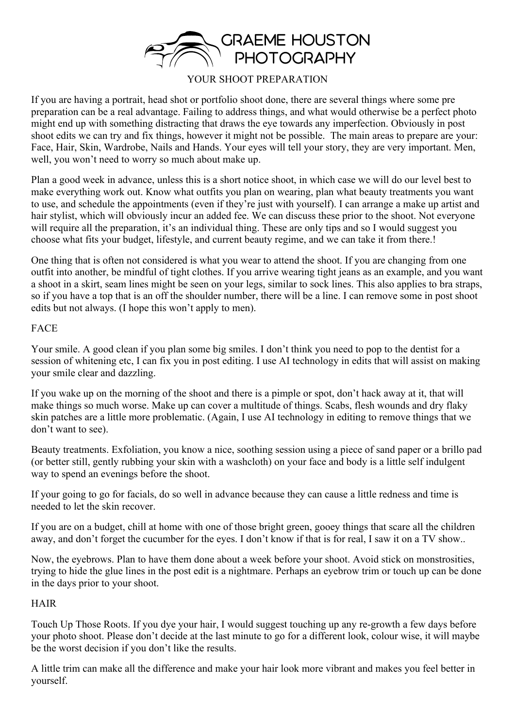

# YOUR SHOOT PREPARATION

If you are having a portrait, head shot or portfolio shoot done, there are several things where some pre preparation can be a real advantage. Failing to address things, and what would otherwise be a perfect photo might end up with something distracting that draws the eye towards any imperfection. Obviously in post shoot edits we can try and fix things, however it might not be possible. The main areas to prepare are your: Face, Hair, Skin, Wardrobe, Nails and Hands. Your eyes will tell your story, they are very important. Men, well, you won't need to worry so much about make up.

Plan a good week in advance, unless this is a short notice shoot, in which case we will do our level best to make everything work out. Know what outfits you plan on wearing, plan what beauty treatments you want to use, and schedule the appointments (even if they're just with yourself). I can arrange a make up artist and hair stylist, which will obviously incur an added fee. We can discuss these prior to the shoot. Not everyone will require all the preparation, it's an individual thing. These are only tips and so I would suggest you choose what fits your budget, lifestyle, and current beauty regime, and we can take it from there.!

One thing that is often not considered is what you wear to attend the shoot. If you are changing from one outfit into another, be mindful of tight clothes. If you arrive wearing tight jeans as an example, and you want a shoot in a skirt, seam lines might be seen on your legs, similar to sock lines. This also applies to bra straps, so if you have a top that is an off the shoulder number, there will be a line. I can remove some in post shoot edits but not always. (I hope this won't apply to men).

#### FACE

Your smile. A good clean if you plan some big smiles. I don't think you need to pop to the dentist for a session of whitening etc, I can fix you in post editing. I use AI technology in edits that will assist on making your smile clear and dazzling.

If you wake up on the morning of the shoot and there is a pimple or spot, don't hack away at it, that will make things so much worse. Make up can cover a multitude of things. Scabs, flesh wounds and dry flaky skin patches are a little more problematic. (Again, I use AI technology in editing to remove things that we don't want to see).

Beauty treatments. Exfoliation, you know a nice, soothing session using a piece of sand paper or a brillo pad (or better still, gently rubbing your skin with a washcloth) on your face and body is a little self indulgent way to spend an evenings before the shoot.

If your going to go for facials, do so well in advance because they can cause a little redness and time is needed to let the skin recover.

If you are on a budget, chill at home with one of those bright green, gooey things that scare all the children away, and don't forget the cucumber for the eyes. I don't know if that is for real, I saw it on a TV show..

Now, the eyebrows. Plan to have them done about a week before your shoot. Avoid stick on monstrosities, trying to hide the glue lines in the post edit is a nightmare. Perhaps an eyebrow trim or touch up can be done in the days prior to your shoot.

## HAIR

Touch Up Those Roots. If you dye your hair, I would suggest touching up any re-growth a few days before your photo shoot. Please don't decide at the last minute to go for a different look, colour wise, it will maybe be the worst decision if you don't like the results.

A little trim can make all the difference and make your hair look more vibrant and makes you feel better in yourself.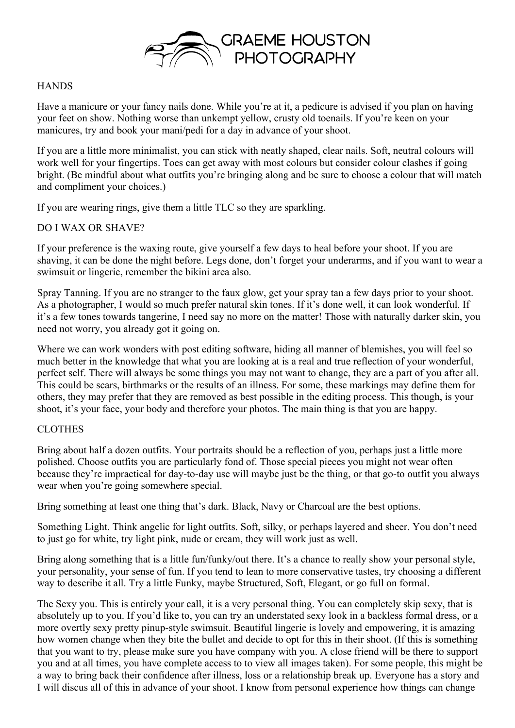

### **HANDS**

Have a manicure or your fancy nails done. While you're at it, a pedicure is advised if you plan on having your feet on show. Nothing worse than unkempt yellow, crusty old toenails. If you're keen on your manicures, try and book your mani/pedi for a day in advance of your shoot.

If you are a little more minimalist, you can stick with neatly shaped, clear nails. Soft, neutral colours will work well for your fingertips. Toes can get away with most colours but consider colour clashes if going bright. (Be mindful about what outfits you're bringing along and be sure to choose a colour that will match and compliment your choices.)

If you are wearing rings, give them a little TLC so they are sparkling.

## DO I WAX OR SHAVE?

If your preference is the waxing route, give yourself a few days to heal before your shoot. If you are shaving, it can be done the night before. Legs done, don't forget your underarms, and if you want to wear a swimsuit or lingerie, remember the bikini area also.

Spray Tanning. If you are no stranger to the faux glow, get your spray tan a few days prior to your shoot. As a photographer, I would so much prefer natural skin tones. If it's done well, it can look wonderful. If it's a few tones towards tangerine, I need say no more on the matter! Those with naturally darker skin, you need not worry, you already got it going on.

Where we can work wonders with post editing software, hiding all manner of blemishes, you will feel so much better in the knowledge that what you are looking at is a real and true reflection of your wonderful, perfect self. There will always be some things you may not want to change, they are a part of you after all. This could be scars, birthmarks or the results of an illness. For some, these markings may define them for others, they may prefer that they are removed as best possible in the editing process. This though, is your shoot, it's your face, your body and therefore your photos. The main thing is that you are happy.

## CLOTHES

Bring about half a dozen outfits. Your portraits should be a reflection of you, perhaps just a little more polished. Choose outfits you are particularly fond of. Those special pieces you might not wear often because they're impractical for day-to-day use will maybe just be the thing, or that go-to outfit you always wear when you're going somewhere special.

Bring something at least one thing that's dark. Black, Navy or Charcoal are the best options.

Something Light. Think angelic for light outfits. Soft, silky, or perhaps layered and sheer. You don't need to just go for white, try light pink, nude or cream, they will work just as well.

Bring along something that is a little fun/funky/out there. It's a chance to really show your personal style, your personality, your sense of fun. If you tend to lean to more conservative tastes, try choosing a different way to describe it all. Try a little Funky, maybe Structured, Soft, Elegant, or go full on formal.

The Sexy you. This is entirely your call, it is a very personal thing. You can completely skip sexy, that is absolutely up to you. If you'd like to, you can try an understated sexy look in a backless formal dress, or a more overtly sexy pretty pinup-style swimsuit. Beautiful lingerie is lovely and empowering, it is amazing how women change when they bite the bullet and decide to opt for this in their shoot. (If this is something that you want to try, please make sure you have company with you. A close friend will be there to support you and at all times, you have complete access to to view all images taken). For some people, this might be a way to bring back their confidence after illness, loss or a relationship break up. Everyone has a story and I will discus all of this in advance of your shoot. I know from personal experience how things can change